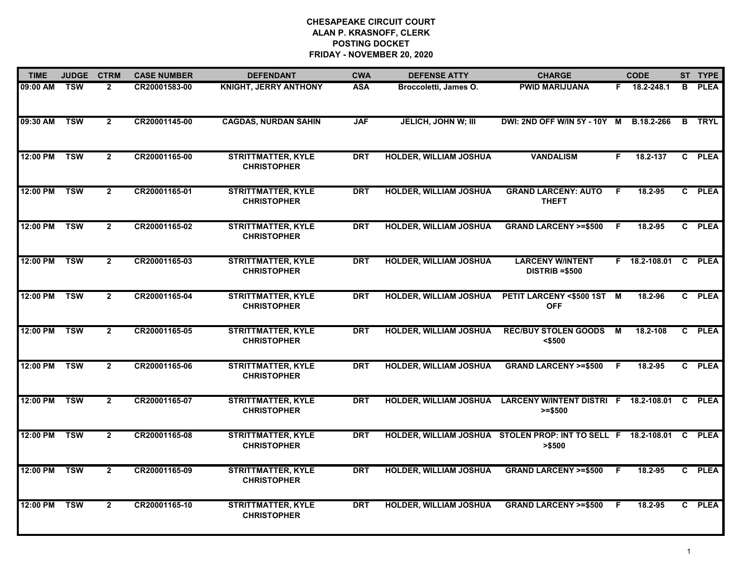| <b>TIME</b> | <b>JUDGE</b>            | <b>CTRM</b>    | <b>CASE NUMBER</b> | <b>DEFENDANT</b>                                | <b>CWA</b> | <b>DEFENSE ATTY</b>           | <b>CHARGE</b>                                                                   |     | <b>CODE</b>          |              | ST TYPE       |
|-------------|-------------------------|----------------|--------------------|-------------------------------------------------|------------|-------------------------------|---------------------------------------------------------------------------------|-----|----------------------|--------------|---------------|
| 09:00 AM    | <b>TSW</b>              | $\overline{2}$ | CR20001583-00      | <b>KNIGHT, JERRY ANTHONY</b>                    | <b>ASA</b> | Broccoletti, James O.         | <b>PWID MARIJUANA</b>                                                           |     | F 18.2-248.1         | в            | <b>PLEA</b>   |
| 09:30 AM    | <b>TSW</b>              | $\overline{2}$ | CR20001145-00      | <b>CAGDAS, NURDAN SAHIN</b>                     | <b>JAF</b> | <b>JELICH, JOHN W; III</b>    | DWI: 2ND OFF W/IN 5Y - 10Y M B.18.2-266                                         |     |                      | $\mathbf{B}$ | <b>TRYL</b>   |
| 12:00 PM    | <b>TSW</b>              | $\mathbf{2}$   | CR20001165-00      | <b>STRITTMATTER, KYLE</b><br><b>CHRISTOPHER</b> | <b>DRT</b> | <b>HOLDER, WILLIAM JOSHUA</b> | <b>VANDALISM</b>                                                                | F   | 18.2-137             |              | C PLEA        |
| 12:00 PM    | <b>TSW</b>              | $\mathbf{2}$   | CR20001165-01      | <b>STRITTMATTER, KYLE</b><br><b>CHRISTOPHER</b> | <b>DRT</b> | <b>HOLDER, WILLIAM JOSHUA</b> | <b>GRAND LARCENY: AUTO</b><br><b>THEFT</b>                                      | -F  | 18.2-95              |              | C PLEA        |
| 12:00 PM    | <b>TSW</b>              | $\overline{2}$ | CR20001165-02      | <b>STRITTMATTER, KYLE</b><br><b>CHRISTOPHER</b> | <b>DRT</b> | <b>HOLDER, WILLIAM JOSHUA</b> | <b>GRAND LARCENY &gt;=\$500</b>                                                 | -F  | 18.2-95              |              | C PLEA        |
| 12:00 PM    | <b>TSW</b>              | $\mathbf{2}$   | CR20001165-03      | <b>STRITTMATTER, KYLE</b><br><b>CHRISTOPHER</b> | <b>DRT</b> | <b>HOLDER, WILLIAM JOSHUA</b> | <b>LARCENY W/INTENT</b><br><b>DISTRIB =\$500</b>                                |     | F 18.2-108.01 C PLEA |              |               |
| 12:00 PM    | <b>TSW</b>              | $\overline{2}$ | CR20001165-04      | <b>STRITTMATTER, KYLE</b><br><b>CHRISTOPHER</b> | <b>DRT</b> | <b>HOLDER, WILLIAM JOSHUA</b> | PETIT LARCENY <\$500 1ST M<br><b>OFF</b>                                        |     | 18.2-96              |              | C PLEA        |
| 12:00 PM    | <b>TSW</b>              | $\overline{2}$ | CR20001165-05      | <b>STRITTMATTER, KYLE</b><br><b>CHRISTOPHER</b> | <b>DRT</b> | <b>HOLDER, WILLIAM JOSHUA</b> | <b>REC/BUY STOLEN GOODS</b><br>$<$ \$500                                        | M   | 18.2-108             |              | C PLEA        |
| 12:00 PM    | <b>TSW</b>              | $\overline{2}$ | CR20001165-06      | <b>STRITTMATTER, KYLE</b><br><b>CHRISTOPHER</b> | <b>DRT</b> | <b>HOLDER, WILLIAM JOSHUA</b> | <b>GRAND LARCENY &gt;=\$500</b>                                                 | - F | 18.2-95              |              | C PLEA        |
| 12:00 PM    | <b>TSW</b>              | $\overline{2}$ | CR20001165-07      | <b>STRITTMATTER, KYLE</b><br><b>CHRISTOPHER</b> | <b>DRT</b> | <b>HOLDER, WILLIAM JOSHUA</b> | LARCENY W/INTENT DISTRI F 18.2-108.01<br>$>= $500$                              |     |                      |              | <b>C</b> PLEA |
| 12:00 PM    | <b>TSW</b>              | $\overline{2}$ | CR20001165-08      | <b>STRITTMATTER, KYLE</b><br><b>CHRISTOPHER</b> | <b>DRT</b> |                               | HOLDER, WILLIAM JOSHUA STOLEN PROP: INT TO SELL F 18.2-108.01 C PLEA<br>> \$500 |     |                      |              |               |
| 12:00 PM    | $\overline{\text{TSW}}$ | $\overline{2}$ | CR20001165-09      | <b>STRITTMATTER, KYLE</b><br><b>CHRISTOPHER</b> | <b>DRT</b> | <b>HOLDER, WILLIAM JOSHUA</b> | <b>GRAND LARCENY &gt;=\$500</b>                                                 | - F | 18.2-95              |              | C PLEA        |
| 12:00 PM    | <b>TSW</b>              | $\overline{2}$ | CR20001165-10      | <b>STRITTMATTER, KYLE</b><br><b>CHRISTOPHER</b> | <b>DRT</b> | <b>HOLDER, WILLIAM JOSHUA</b> | <b>GRAND LARCENY &gt;=\$500</b>                                                 | -F  | 18.2-95              |              | C PLEA        |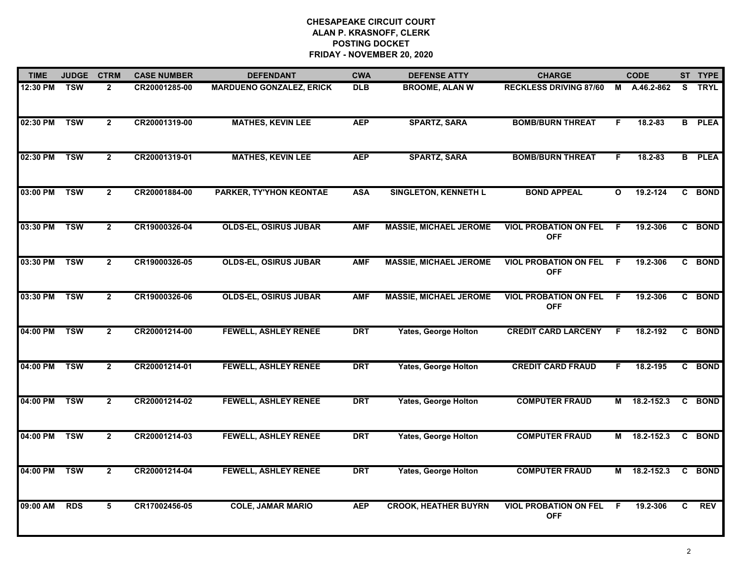| <b>TIME</b> | <b>JUDGE</b> | <b>CTRM</b>    | <b>CASE NUMBER</b> | <b>DEFENDANT</b>                | <b>CWA</b> | <b>DEFENSE ATTY</b>           | <b>CHARGE</b>                              |    | <b>CODE</b> |   | ST TYPE       |
|-------------|--------------|----------------|--------------------|---------------------------------|------------|-------------------------------|--------------------------------------------|----|-------------|---|---------------|
| 12:30 PM    | <b>TSW</b>   | $\overline{2}$ | CR20001285-00      | <b>MARDUENO GONZALEZ, ERICK</b> | <b>DLB</b> | <b>BROOME, ALAN W</b>         | <b>RECKLESS DRIVING 87/60</b>              | M  | A.46.2-862  | S | <b>TRYL</b>   |
| 02:30 PM    | <b>TSW</b>   | $\overline{2}$ | CR20001319-00      | <b>MATHES, KEVIN LEE</b>        | <b>AEP</b> | <b>SPARTZ, SARA</b>           | <b>BOMB/BURN THREAT</b>                    | F. | $18.2 - 83$ |   | <b>B</b> PLEA |
| 02:30 PM    | <b>TSW</b>   | $\mathbf{2}$   | CR20001319-01      | <b>MATHES, KEVIN LEE</b>        | <b>AEP</b> | <b>SPARTZ, SARA</b>           | <b>BOMB/BURN THREAT</b>                    | F. | 18.2-83     |   | <b>B</b> PLEA |
| 03:00 PM    | <b>TSW</b>   | $\overline{2}$ | CR20001884-00      | <b>PARKER, TY'YHON KEONTAE</b>  | <b>ASA</b> | <b>SINGLETON, KENNETH L</b>   | <b>BOND APPEAL</b>                         | O  | 19.2-124    |   | C BOND        |
| 03:30 PM    | <b>TSW</b>   | $\overline{2}$ | CR19000326-04      | <b>OLDS-EL, OSIRUS JUBAR</b>    | <b>AMF</b> | <b>MASSIE, MICHAEL JEROME</b> | <b>VIOL PROBATION ON FEL</b><br><b>OFF</b> | F  | 19.2-306    | C | <b>BOND</b>   |
| 03:30 PM    | <b>TSW</b>   | $\overline{2}$ | CR19000326-05      | <b>OLDS-EL, OSIRUS JUBAR</b>    | <b>AMF</b> | <b>MASSIE, MICHAEL JEROME</b> | <b>VIOL PROBATION ON FEL</b><br><b>OFF</b> | F. | 19.2-306    |   | C BOND        |
| 03:30 PM    | <b>TSW</b>   | $\mathbf{2}$   | CR19000326-06      | <b>OLDS-EL, OSIRUS JUBAR</b>    | <b>AMF</b> | <b>MASSIE, MICHAEL JEROME</b> | <b>VIOL PROBATION ON FEL</b><br><b>OFF</b> | F. | 19.2-306    | C | <b>BOND</b>   |
| 04:00 PM    | <b>TSW</b>   | $\overline{2}$ | CR20001214-00      | <b>FEWELL, ASHLEY RENEE</b>     | <b>DRT</b> | <b>Yates, George Holton</b>   | <b>CREDIT CARD LARCENY</b>                 | F  | 18.2-192    |   | C BOND        |
| 04:00 PM    | <b>TSW</b>   | $\overline{2}$ | CR20001214-01      | <b>FEWELL, ASHLEY RENEE</b>     | <b>DRT</b> | <b>Yates, George Holton</b>   | <b>CREDIT CARD FRAUD</b>                   | F. | 18.2-195    | C | <b>BOND</b>   |
| 04:00 PM    | <b>TSW</b>   | $\overline{2}$ | CR20001214-02      | <b>FEWELL, ASHLEY RENEE</b>     | <b>DRT</b> | <b>Yates, George Holton</b>   | <b>COMPUTER FRAUD</b>                      | М  | 18.2-152.3  |   | C BOND        |
| 04:00 PM    | <b>TSW</b>   | $\overline{2}$ | CR20001214-03      | <b>FEWELL, ASHLEY RENEE</b>     | <b>DRT</b> | <b>Yates, George Holton</b>   | <b>COMPUTER FRAUD</b>                      | М  | 18.2-152.3  | C | <b>BOND</b>   |
| 04:00 PM    | <b>TSW</b>   | $\overline{2}$ | CR20001214-04      | <b>FEWELL, ASHLEY RENEE</b>     | <b>DRT</b> | <b>Yates, George Holton</b>   | <b>COMPUTER FRAUD</b>                      | M  | 18.2-152.3  |   | C BOND        |
| 09:00 AM    | <b>RDS</b>   | 5              | CR17002456-05      | <b>COLE, JAMAR MARIO</b>        | <b>AEP</b> | <b>CROOK, HEATHER BUYRN</b>   | <b>VIOL PROBATION ON FEL</b><br><b>OFF</b> | F  | 19.2-306    | C | <b>REV</b>    |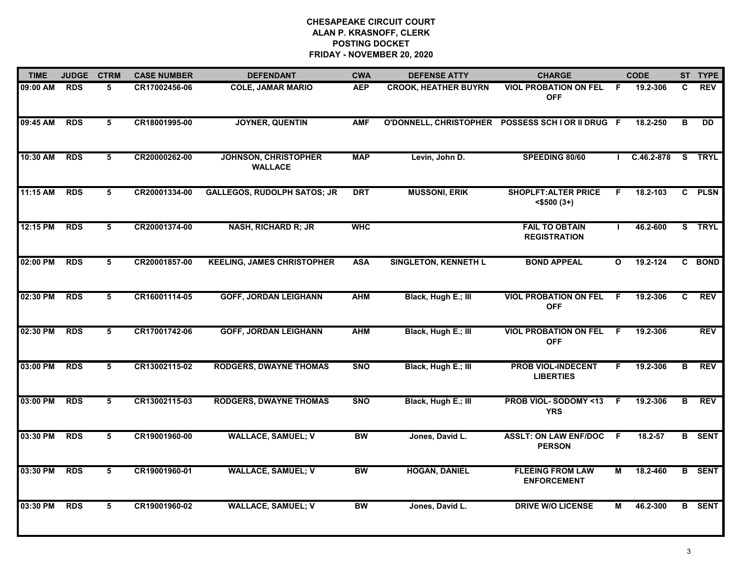| <b>TIME</b> | <b>JUDGE</b> | <b>CTRM</b> | <b>CASE NUMBER</b> | <b>DEFENDANT</b>                              | <b>CWA</b> | <b>DEFENSE ATTY</b>         | <b>CHARGE</b>                                     |              | <b>CODE</b>    |    | ST TYPE         |
|-------------|--------------|-------------|--------------------|-----------------------------------------------|------------|-----------------------------|---------------------------------------------------|--------------|----------------|----|-----------------|
| 09:00 AM    | <b>RDS</b>   | 5           | CR17002456-06      | <b>COLE, JAMAR MARIO</b>                      | <b>AEP</b> | <b>CROOK, HEATHER BUYRN</b> | <b>VIOL PROBATION ON FEL</b><br><b>OFF</b>        | -F.          | 19.2-306       | C. | <b>REV</b>      |
| 09:45 AM    | <b>RDS</b>   | 5           | CR18001995-00      | <b>JOYNER, QUENTIN</b>                        | <b>AMF</b> |                             | O'DONNELL, CHRISTOPHER POSSESS SCH I OR II DRUG F |              | 18.2-250       | B  | $\overline{DD}$ |
| 10:30 AM    | <b>RDS</b>   | 5           | CR20000262-00      | <b>JOHNSON, CHRISTOPHER</b><br><b>WALLACE</b> | <b>MAP</b> | Levin, John D.              | SPEEDING 80/60                                    |              | $C.46.2 - 878$ |    | S TRYL          |
| 11:15 AM    | <b>RDS</b>   | 5           | CR20001334-00      | <b>GALLEGOS, RUDOLPH SATOS; JR</b>            | <b>DRT</b> | <b>MUSSONI, ERIK</b>        | <b>SHOPLFT: ALTER PRICE</b><br>$<$ \$500 $(3+)$   | F.           | 18.2-103       |    | C PLSN          |
| 12:15 PM    | <b>RDS</b>   | 5           | CR20001374-00      | <b>NASH, RICHARD R; JR</b>                    | <b>WHC</b> |                             | <b>FAIL TO OBTAIN</b><br><b>REGISTRATION</b>      |              | 46.2-600       |    | S TRYL          |
| 02:00 PM    | <b>RDS</b>   | 5           | CR20001857-00      | <b>KEELING, JAMES CHRISTOPHER</b>             | <b>ASA</b> | <b>SINGLETON, KENNETH L</b> | <b>BOND APPEAL</b>                                | $\mathbf{o}$ | 19.2-124       |    | C BOND          |
| 02:30 PM    | <b>RDS</b>   | 5           | CR16001114-05      | <b>GOFF, JORDAN LEIGHANN</b>                  | <b>AHM</b> | Black, Hugh E.; III         | <b>VIOL PROBATION ON FEL</b><br><b>OFF</b>        | -F           | 19.2-306       | C  | <b>REV</b>      |
| 02:30 PM    | <b>RDS</b>   | 5           | CR17001742-06      | <b>GOFF, JORDAN LEIGHANN</b>                  | <b>AHM</b> | Black, Hugh E.; III         | <b>VIOL PROBATION ON FEL</b><br><b>OFF</b>        | -F           | 19.2-306       |    | <b>REV</b>      |
| 03:00 PM    | <b>RDS</b>   | 5           | CR13002115-02      | <b>RODGERS, DWAYNE THOMAS</b>                 | <b>SNO</b> | Black, Hugh E.; III         | <b>PROB VIOL-INDECENT</b><br><b>LIBERTIES</b>     | F            | 19.2-306       | В  | <b>REV</b>      |
| 03:00 PM    | <b>RDS</b>   | 5           | CR13002115-03      | <b>RODGERS, DWAYNE THOMAS</b>                 | <b>SNO</b> | Black, Hugh E.; III         | <b>PROB VIOL-SODOMY &lt;13</b><br><b>YRS</b>      | -F.          | 19.2-306       | В  | <b>REV</b>      |
| 03:30 PM    | <b>RDS</b>   | 5           | CR19001960-00      | <b>WALLACE, SAMUEL; V</b>                     | <b>BW</b>  | Jones, David L.             | <b>ASSLT: ON LAW ENF/DOC</b><br><b>PERSON</b>     | - F          | 18.2-57        |    | <b>B</b> SENT   |
| 03:30 PM    | <b>RDS</b>   | 5           | CR19001960-01      | <b>WALLACE, SAMUEL; V</b>                     | <b>BW</b>  | <b>HOGAN, DANIEL</b>        | <b>FLEEING FROM LAW</b><br><b>ENFORCEMENT</b>     | М            | 18.2-460       |    | <b>B</b> SENT   |
| 03:30 PM    | <b>RDS</b>   | 5           | CR19001960-02      | <b>WALLACE, SAMUEL; V</b>                     | <b>BW</b>  | Jones, David L.             | <b>DRIVE W/O LICENSE</b>                          | М            | 46.2-300       |    | <b>B</b> SENT   |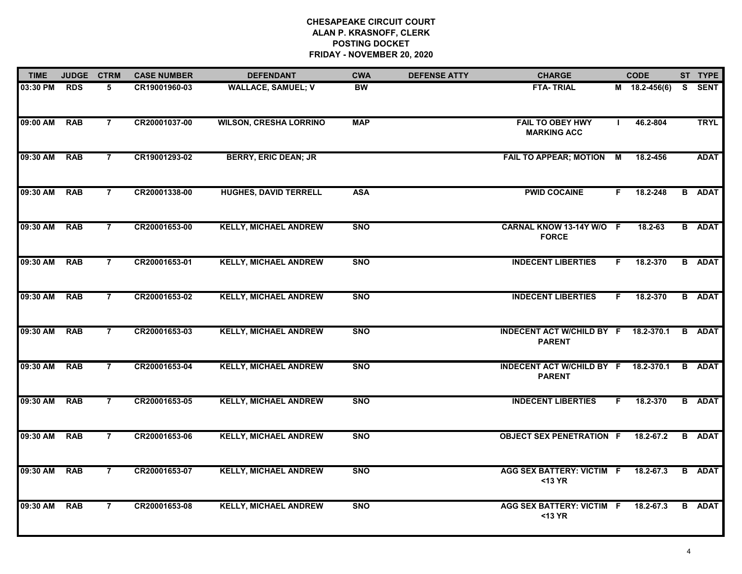| <b>TIME</b> | <b>JUDGE</b> | <b>CTRM</b>    | <b>CASE NUMBER</b> | <b>DEFENDANT</b>              | <b>CWA</b> | <b>DEFENSE ATTY</b> | <b>CHARGE</b>                                         |    | <b>CODE</b>   |   | ST TYPE       |
|-------------|--------------|----------------|--------------------|-------------------------------|------------|---------------------|-------------------------------------------------------|----|---------------|---|---------------|
| 03:30 PM    | <b>RDS</b>   | 5              | CR19001960-03      | <b>WALLACE, SAMUEL; V</b>     | <b>BW</b>  |                     | <b>FTA-TRIAL</b>                                      |    | M 18.2-456(6) |   | S SENT        |
| 09:00 AM    | <b>RAB</b>   | $\overline{7}$ | CR20001037-00      | <b>WILSON, CRESHA LORRINO</b> | <b>MAP</b> |                     | <b>FAIL TO OBEY HWY</b><br><b>MARKING ACC</b>         |    | 46.2-804      |   | <b>TRYL</b>   |
| 09:30 AM    | <b>RAB</b>   | $\overline{7}$ | CR19001293-02      | <b>BERRY, ERIC DEAN; JR</b>   |            |                     | FAIL TO APPEAR; MOTION M                              |    | 18.2-456      |   | <b>ADAT</b>   |
| 09:30 AM    | <b>RAB</b>   | $\overline{7}$ | CR20001338-00      | <b>HUGHES, DAVID TERRELL</b>  | <b>ASA</b> |                     | <b>PWID COCAINE</b>                                   | F. | 18.2-248      |   | <b>B</b> ADAT |
| 09:30 AM    | <b>RAB</b>   | $\overline{7}$ | CR20001653-00      | <b>KELLY, MICHAEL ANDREW</b>  | <b>SNO</b> |                     | CARNAL KNOW 13-14Y W/O F<br><b>FORCE</b>              |    | 18.2-63       |   | <b>B</b> ADAT |
| 09:30 AM    | <b>RAB</b>   | $\overline{7}$ | CR20001653-01      | <b>KELLY, MICHAEL ANDREW</b>  | <b>SNO</b> |                     | <b>INDECENT LIBERTIES</b>                             | F. | 18.2-370      |   | <b>B</b> ADAT |
| 09:30 AM    | <b>RAB</b>   | $\overline{7}$ | CR20001653-02      | <b>KELLY, MICHAEL ANDREW</b>  | <b>SNO</b> |                     | <b>INDECENT LIBERTIES</b>                             | F. | 18.2-370      |   | <b>B</b> ADAT |
| 09:30 AM    | <b>RAB</b>   | $\overline{7}$ | CR20001653-03      | <b>KELLY, MICHAEL ANDREW</b>  | <b>SNO</b> |                     | INDECENT ACT W/CHILD BY F 18.2-370.1<br><b>PARENT</b> |    |               |   | <b>B</b> ADAT |
| 09:30 AM    | <b>RAB</b>   | $\overline{7}$ | CR20001653-04      | <b>KELLY, MICHAEL ANDREW</b>  | <b>SNO</b> |                     | INDECENT ACT W/CHILD BY F 18.2-370.1<br><b>PARENT</b> |    |               |   | <b>B</b> ADAT |
| 09:30 AM    | <b>RAB</b>   | $\overline{7}$ | CR20001653-05      | <b>KELLY, MICHAEL ANDREW</b>  | <b>SNO</b> |                     | <b>INDECENT LIBERTIES</b>                             | F. | 18.2-370      |   | <b>B</b> ADAT |
| 09:30 AM    | <b>RAB</b>   | $\overline{7}$ | CR20001653-06      | <b>KELLY, MICHAEL ANDREW</b>  | <b>SNO</b> |                     | <b>OBJECT SEX PENETRATION F</b>                       |    | 18.2-67.2     | B | <b>ADAT</b>   |
| 09:30 AM    | <b>RAB</b>   | $\overline{7}$ | CR20001653-07      | <b>KELLY, MICHAEL ANDREW</b>  | <b>SNO</b> |                     | <b>AGG SEX BATTERY: VICTIM F</b><br>$<$ 13 YR         |    | 18.2-67.3     |   | <b>B</b> ADAT |
| 09:30 AM    | <b>RAB</b>   | $\overline{7}$ | CR20001653-08      | <b>KELLY, MICHAEL ANDREW</b>  | <b>SNO</b> |                     | <b>AGG SEX BATTERY: VICTIM F</b><br><13 YR            |    | 18.2-67.3     |   | <b>B</b> ADAT |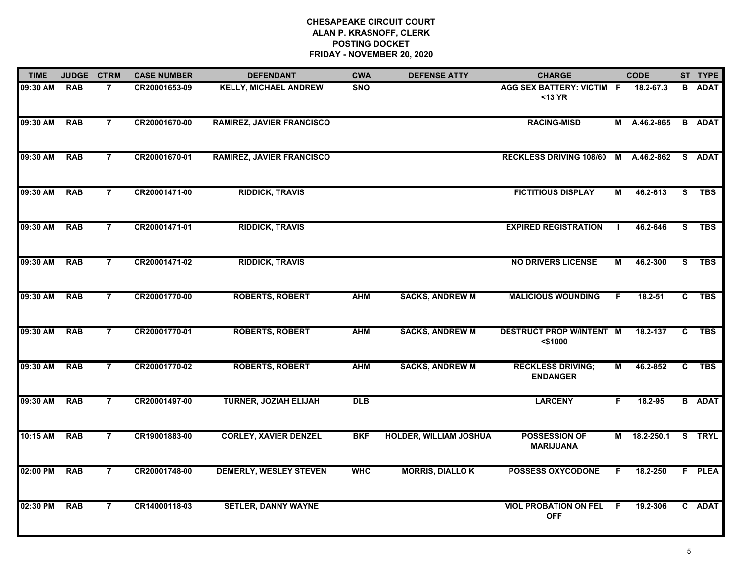| <b>TIME</b> | <b>JUDGE</b> | <b>CTRM</b>    | <b>CASE NUMBER</b> | <b>DEFENDANT</b>                 | <b>CWA</b> | <b>DEFENSE ATTY</b>           | <b>CHARGE</b>                                 |    | <b>CODE</b>  |    | ST TYPE       |
|-------------|--------------|----------------|--------------------|----------------------------------|------------|-------------------------------|-----------------------------------------------|----|--------------|----|---------------|
| 09:30 AM    | <b>RAB</b>   | $\overline{7}$ | CR20001653-09      | <b>KELLY, MICHAEL ANDREW</b>     | <b>SNO</b> |                               | AGG SEX BATTERY: VICTIM F<br>$<$ 13 YR        |    | 18.2-67.3    |    | <b>B</b> ADAT |
| 09:30 AM    | <b>RAB</b>   | $\overline{7}$ | CR20001670-00      | <b>RAMIREZ, JAVIER FRANCISCO</b> |            |                               | <b>RACING-MISD</b>                            |    | M A.46.2-865 |    | <b>B</b> ADAT |
| 09:30 AM    | <b>RAB</b>   | $\overline{7}$ | CR20001670-01      | <b>RAMIREZ, JAVIER FRANCISCO</b> |            |                               | RECKLESS DRIVING 108/60 M                     |    | A.46.2-862   |    | S ADAT        |
| 09:30 AM    | <b>RAB</b>   | 7              | CR20001471-00      | <b>RIDDICK, TRAVIS</b>           |            |                               | <b>FICTITIOUS DISPLAY</b>                     | м  | 46.2-613     | S. | <b>TBS</b>    |
| 09:30 AM    | <b>RAB</b>   | 7              | CR20001471-01      | <b>RIDDICK, TRAVIS</b>           |            |                               | <b>EXPIRED REGISTRATION</b>                   |    | 46.2-646     | S. | <b>TBS</b>    |
| 09:30 AM    | <b>RAB</b>   | 7              | CR20001471-02      | <b>RIDDICK, TRAVIS</b>           |            |                               | <b>NO DRIVERS LICENSE</b>                     | М  | 46.2-300     | S. | <b>TBS</b>    |
| 09:30 AM    | <b>RAB</b>   | $\overline{7}$ | CR20001770-00      | <b>ROBERTS, ROBERT</b>           | <b>AHM</b> | <b>SACKS, ANDREW M</b>        | <b>MALICIOUS WOUNDING</b>                     | F  | $18.2 - 51$  | C  | <b>TBS</b>    |
| 09:30 AM    | <b>RAB</b>   | $\overline{7}$ | CR20001770-01      | <b>ROBERTS, ROBERT</b>           | <b>AHM</b> | <b>SACKS, ANDREW M</b>        | <b>DESTRUCT PROP W/INTENT M</b><br>$<$ \$1000 |    | 18.2-137     | C  | <b>TBS</b>    |
| 09:30 AM    | <b>RAB</b>   | 7              | CR20001770-02      | <b>ROBERTS, ROBERT</b>           | <b>AHM</b> | <b>SACKS, ANDREW M</b>        | <b>RECKLESS DRIVING;</b><br><b>ENDANGER</b>   | м  | 46.2-852     | C  | <b>TBS</b>    |
| 09:30 AM    | <b>RAB</b>   | $\overline{7}$ | CR20001497-00      | <b>TURNER, JOZIAH ELIJAH</b>     | <b>DLB</b> |                               | <b>LARCENY</b>                                | F  | 18.2-95      |    | <b>B</b> ADAT |
| 10:15 AM    | <b>RAB</b>   | $\overline{7}$ | CR19001883-00      | <b>CORLEY, XAVIER DENZEL</b>     | <b>BKF</b> | <b>HOLDER, WILLIAM JOSHUA</b> | <b>POSSESSION OF</b><br><b>MARIJUANA</b>      |    | M 18.2-250.1 |    | S TRYL        |
| 02:00 PM    | <b>RAB</b>   | $\overline{7}$ | CR20001748-00      | <b>DEMERLY, WESLEY STEVEN</b>    | <b>WHC</b> | <b>MORRIS, DIALLOK</b>        | <b>POSSESS OXYCODONE</b>                      | F. | 18.2-250     |    | F PLEA        |
| 02:30 PM    | <b>RAB</b>   | $\overline{7}$ | CR14000118-03      | <b>SETLER, DANNY WAYNE</b>       |            |                               | <b>VIOL PROBATION ON FEL</b><br><b>OFF</b>    | F. | 19.2-306     |    | C ADAT        |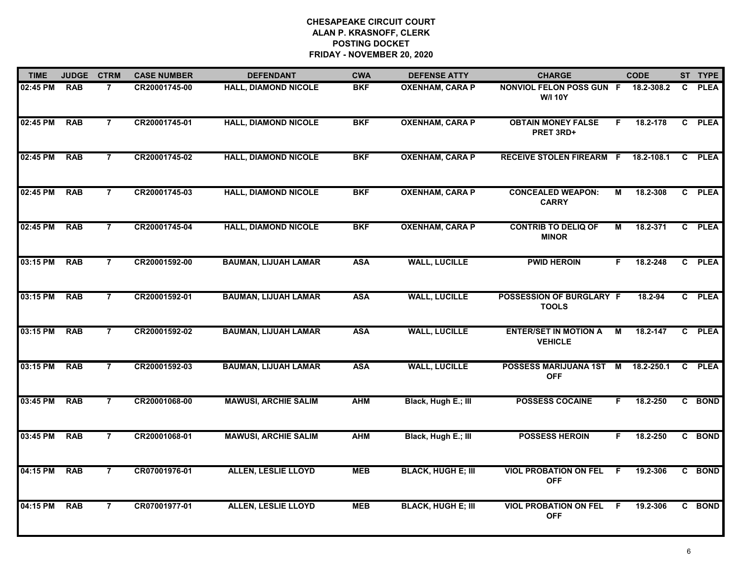| <b>TIME</b> | <b>JUDGE</b> | <b>CTRM</b>    | <b>CASE NUMBER</b> | <b>DEFENDANT</b>            | <b>CWA</b> | <b>DEFENSE ATTY</b>       | <b>CHARGE</b>                                  |    | <b>CODE</b> |              | ST TYPE     |
|-------------|--------------|----------------|--------------------|-----------------------------|------------|---------------------------|------------------------------------------------|----|-------------|--------------|-------------|
| 02:45 PM    | <b>RAB</b>   | $\overline{7}$ | CR20001745-00      | <b>HALL, DIAMOND NICOLE</b> | <b>BKF</b> | <b>OXENHAM, CARA P</b>    | NONVIOL FELON POSS GUN F<br><b>W/I 10Y</b>     |    | 18.2-308.2  | $\mathbf{C}$ | <b>PLEA</b> |
| 02:45 PM    | <b>RAB</b>   | $\overline{7}$ | CR20001745-01      | <b>HALL, DIAMOND NICOLE</b> | <b>BKF</b> | <b>OXENHAM, CARA P</b>    | <b>OBTAIN MONEY FALSE</b><br>PRET 3RD+         | F. | 18.2-178    |              | C PLEA      |
| 02:45 PM    | <b>RAB</b>   | $\overline{7}$ | CR20001745-02      | <b>HALL, DIAMOND NICOLE</b> | <b>BKF</b> | <b>OXENHAM, CARA P</b>    | <b>RECEIVE STOLEN FIREARM F</b>                |    | 18.2-108.1  | $\mathbf{c}$ | <b>PLEA</b> |
| 02:45 PM    | <b>RAB</b>   | $\overline{7}$ | CR20001745-03      | <b>HALL, DIAMOND NICOLE</b> | <b>BKF</b> | <b>OXENHAM, CARA P</b>    | <b>CONCEALED WEAPON:</b><br><b>CARRY</b>       | М  | 18.2-308    |              | C PLEA      |
| 02:45 PM    | <b>RAB</b>   | $\overline{7}$ | CR20001745-04      | <b>HALL, DIAMOND NICOLE</b> | <b>BKF</b> | <b>OXENHAM, CARA P</b>    | <b>CONTRIB TO DELIQ OF</b><br><b>MINOR</b>     | М  | 18.2-371    |              | C PLEA      |
| 03:15 PM    | <b>RAB</b>   | $\overline{7}$ | CR20001592-00      | <b>BAUMAN, LIJUAH LAMAR</b> | <b>ASA</b> | <b>WALL, LUCILLE</b>      | <b>PWID HEROIN</b>                             | F. | 18.2-248    |              | C PLEA      |
| 03:15 PM    | <b>RAB</b>   | $\overline{7}$ | CR20001592-01      | <b>BAUMAN, LIJUAH LAMAR</b> | <b>ASA</b> | <b>WALL, LUCILLE</b>      | POSSESSION OF BURGLARY F<br><b>TOOLS</b>       |    | 18.2-94     |              | C PLEA      |
| 03:15 PM    | <b>RAB</b>   | $\overline{7}$ | CR20001592-02      | <b>BAUMAN, LIJUAH LAMAR</b> | <b>ASA</b> | <b>WALL, LUCILLE</b>      | <b>ENTER/SET IN MOTION A</b><br><b>VEHICLE</b> | М  | 18.2-147    |              | C PLEA      |
| 03:15 PM    | <b>RAB</b>   | $\overline{7}$ | CR20001592-03      | <b>BAUMAN, LIJUAH LAMAR</b> | <b>ASA</b> | <b>WALL, LUCILLE</b>      | POSSESS MARIJUANA 1ST M<br><b>OFF</b>          |    | 18.2-250.1  |              | C PLEA      |
| 03:45 PM    | <b>RAB</b>   | $\overline{7}$ | CR20001068-00      | <b>MAWUSI, ARCHIE SALIM</b> | <b>AHM</b> | Black, Hugh E.; III       | <b>POSSESS COCAINE</b>                         | F. | 18.2-250    |              | C BOND      |
| 03:45 PM    | <b>RAB</b>   | $\overline{7}$ | CR20001068-01      | <b>MAWUSI, ARCHIE SALIM</b> | <b>AHM</b> | Black, Hugh E.; III       | <b>POSSESS HEROIN</b>                          | F. | 18.2-250    |              | C BOND      |
| 04:15 PM    | <b>RAB</b>   | $\overline{7}$ | CR07001976-01      | <b>ALLEN, LESLIE LLOYD</b>  | <b>MEB</b> | <b>BLACK, HUGH E; III</b> | <b>VIOL PROBATION ON FEL</b><br><b>OFF</b>     | F. | 19.2-306    |              | C BOND      |
| 04:15 PM    | <b>RAB</b>   | $\overline{7}$ | CR07001977-01      | <b>ALLEN, LESLIE LLOYD</b>  | <b>MEB</b> | <b>BLACK, HUGH E; III</b> | <b>VIOL PROBATION ON FEL</b><br><b>OFF</b>     | E  | 19.2-306    |              | C BOND      |